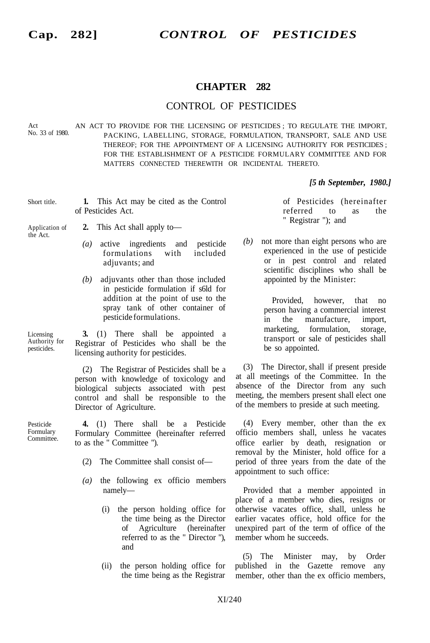## **CHAPTER 282**

## CONTROL OF PESTICIDES

Act<br>No. 33 of 1980. AN ACT TO PROVIDE FOR THE LICENSING OF PESTICIDES; TO REGULATE THE IMPORT, PACKING, LABELLING, STORAGE, FORMULATION, TRANSPORT, SALE AND USE THEREOF; FOR THE APPOINTMENT OF A LICENSING AUTHORITY FOR PESTICIDES ; FOR THE ESTABLISHMENT OF A PESTICIDE FORMULARY COMMITTEE AND FOR MATTERS CONNECTED THEREWITH OR INCIDENTAL THERETO.

## *[5 th September, 1980.]*

Short title. **1.** This Act may be cited as the Control of Pesticides Act.

Application of the Act.

- **2.** This Act shall apply to—
	- *(a)* active ingredients and pesticide formulations with included adjuvants; and
	- *(b)* adjuvants other than those included in pesticide formulation if s6ld for addition at the point of use to the spray tank of other container of pesticide formulations.

Licensing Authority for pesticides.

**3.** (1) There shall be appointed a Registrar of Pesticides who shall be the licensing authority for pesticides.

(2) The Registrar of Pesticides shall be a person with knowledge of toxicology and biological subjects associated with pest control and shall be responsible to the Director of Agriculture.

Pesticide Formulary Committee.

**4.** (1) There shall be a Pesticide Formulary Committee (hereinafter referred to as the " Committee ").

- (2) The Committee shall consist of—
- *(a)* the following ex officio members namely—
	- (i) the person holding office for the time being as the Director of Agriculture (hereinafter referred to as the " Director "), and
	- (ii) the person holding office for the time being as the Registrar

of Pesticides (hereinafter referred to as the " Registrar "); and

*(b)* not more than eight persons who are experienced in the use of pesticide or in pest control and related scientific disciplines who shall be appointed by the Minister:

> Provided, however, that no person having a commercial interest in the manufacture, import, marketing, formulation, storage, transport or sale of pesticides shall be so appointed.

(3) The Director, shall if present preside at all meetings of the Committee. In the absence of the Director from any such meeting, the members present shall elect one of the members to preside at such meeting.

(4) Every member, other than the ex officio members shall, unless he vacates office earlier by death, resignation or removal by the Minister, hold office for a period of three years from the date of the appointment to such office:

Provided that a member appointed in place of a member who dies, resigns or otherwise vacates office, shall, unless he earlier vacates office, hold office for the unexpired part of the term of office of the member whom he succeeds.

(5) The Minister may, by Order published in the Gazette remove any member, other than the ex officio members,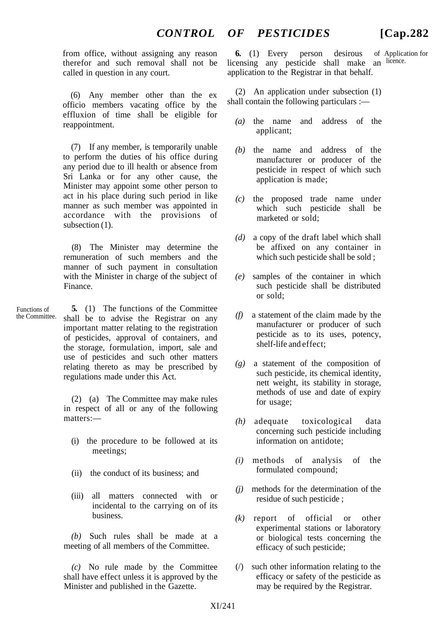from office, without assigning any reason therefor and such removal shall not be called in question in any court.

(6) Any member other than the ex officio members vacating office by the effluxion of time shall be eligible for reappointment.

(7) If any member, is temporarily unable to perform the duties of his office during any period due to ill health or absence from Sri Lanka or for any other cause, the Minister may appoint some other person to act in his place during such period in like manner as such member was appointed in accordance with the provisions of subsection  $(1)$ .

(8) The Minister may determine the remuneration of such members and the manner of such payment in consultation with the Minister in charge of the subject of Finance.

Functions of the Committee. **5.** (1) The functions of the Committee shall be to advise the Registrar on any important matter relating to the registration of pesticides, approval of containers, and the storage, formulation, import, sale and use of pesticides and such other matters relating thereto as may be prescribed by regulations made under this Act.

> (2) (a) The Committee may make rules in respect of all or any of the following matters:—

- (i) the procedure to be followed at its meetings:
- (ii) the conduct of its business; and
- (iii) all matters connected with or incidental to the carrying on of its business.

*(b)* Such rules shall be made at a meeting of all members of the Committee.

*(c)* No rule made by the Committee shall have effect unless it is approved by the Minister and published in the Gazette.

of Application for licensing any pesticide shall make an licence. **6.** (1) Every person desirous application to the Registrar in that behalf.

(2) An application under subsection (1) shall contain the following particulars :—

- *(a)* the name and address of the applicant;
- *(b)* the name and address of the manufacturer or producer of the pesticide in respect of which such application is made;
- *(c)* the proposed trade name under which such pesticide shall be marketed or sold;
- *(d)* a copy of the draft label which shall be affixed on any container in which such pesticide shall be sold ;
- *(e)* samples of the container in which such pesticide shall be distributed or sold;
- *(f)* a statement of the claim made by the manufacturer or producer of such pesticide as to its uses, potency, shelf-life and effect;
- *(g)* a statement of the composition of such pesticide, its chemical identity, nett weight, its stability in storage, methods of use and date of expiry for usage;
- *(h)* adequate toxicological data concerning such pesticide including information on antidote;
- *(i)* methods of analysis of the formulated compound;
- *(j)* methods for the determination of the residue of such pesticide ;
- *(k)* report of official or other experimental stations or laboratory or biological tests concerning the efficacy of such pesticide;
- (/) such other information relating to the efficacy or safety of the pesticide as may be required by the Registrar.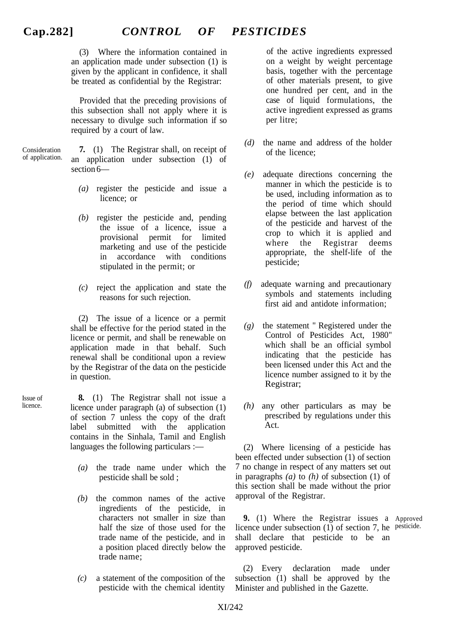(3) Where the information contained in an application made under subsection (1) is given by the applicant in confidence, it shall be treated as confidential by the Registrar:

Provided that the preceding provisions of this subsection shall not apply where it is necessary to divulge such information if so required by a court of law.

Consideration of application.

Issue of licence.

**7.** (1) The Registrar shall, on receipt of an application under subsection (1) of section 6—

- *(a)* register the pesticide and issue a licence; or
- *(b)* register the pesticide and, pending the issue of a licence, issue a provisional permit for limited marketing and use of the pesticide in accordance with conditions stipulated in the permit; or
- *(c)* reject the application and state the reasons for such rejection.

(2) The issue of a licence or a permit shall be effective for the period stated in the licence or permit, and shall be renewable on application made in that behalf. Such renewal shall be conditional upon a review by the Registrar of the data on the pesticide in question.

**8.** (1) The Registrar shall not issue a licence under paragraph (a) of subsection (1) of section 7 unless the copy of the draft label submitted with the application contains in the Sinhala, Tamil and English languages the following particulars :—

- *(a)* the trade name under which the pesticide shall be sold ;
- *(b)* the common names of the active ingredients of the pesticide, in characters not smaller in size than half the size of those used for the trade name of the pesticide, and in a position placed directly below the trade name;
- *(c)* a statement of the composition of the pesticide with the chemical identity

of the active ingredients expressed on a weight by weight percentage basis, together with the percentage of other materials present, to give one hundred per cent, and in the case of liquid formulations, the active ingredient expressed as grams per litre;

- *(d)* the name and address of the holder of the licence;
- *(e)* adequate directions concerning the manner in which the pesticide is to be used, including information as to the period of time which should elapse between the last application of the pesticide and harvest of the crop to which it is applied and where the Registrar deems appropriate, the shelf-life of the pesticide;
- *(f)* adequate warning and precautionary symbols and statements including first aid and antidote information;
- *(g)* the statement " Registered under the Control of Pesticides Act, 1980" which shall be an official symbol indicating that the pesticide has been licensed under this Act and the licence number assigned to it by the Registrar;
- *(h)* any other particulars as may be prescribed by regulations under this Act.

(2) Where licensing of a pesticide has been effected under subsection (1) of section 7 no change in respect of any matters set out in paragraphs *(a)* to *(h)* of subsection (1) of this section shall be made without the prior approval of the Registrar.

**9.** (1) Where the Registrar issues a Approved licence under subsection (1) of section 7, he pesticide. shall declare that pesticide to be an approved pesticide.

(2) Every declaration made under subsection (1) shall be approved by the Minister and published in the Gazette.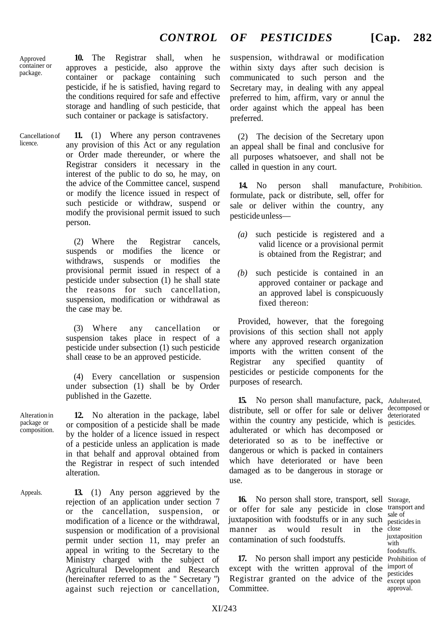Approved container or package.

licence.

**10.** The Registrar shall, when he approves a pesticide, also approve the container or package containing such pesticide, if he is satisfied, having regard to the conditions required for safe and effective storage and handling of such pesticide, that such container or package is satisfactory.

Cancellation of **11.** (1) Where any person contravenes any provision of this Act or any regulation or Order made thereunder, or where the Registrar considers it necessary in the interest of the public to do so, he may, on the advice of the Committee cancel, suspend or modify the licence issued in respect of such pesticide or withdraw, suspend or modify the provisional permit issued to such person.

> (2) Where the Registrar cancels, suspends or modifies the licence or withdraws, suspends or modifies the provisional permit issued in respect of a pesticide under subsection (1) he shall state the reasons for such cancellation, suspension, modification or withdrawal as the case may be.

> (3) Where any cancellation or suspension takes place in respect of a pesticide under subsection (1) such pesticide shall cease to be an approved pesticide.

> (4) Every cancellation or suspension under subsection (1) shall be by Order published in the Gazette.

**12.** No alteration in the package, label or composition of a pesticide shall be made by the holder of a licence issued in respect of a pesticide unless an application is made in that behalf and approval obtained from the Registrar in respect of such intended alteration.

Appeals.

Alteration in package or composition.

> **13.** (1) Any person aggrieved by the rejection of an application under section 7 or the cancellation, suspension, or modification of a licence or the withdrawal, suspension or modification of a provisional permit under section 11, may prefer an appeal in writing to the Secretary to the Ministry charged with the subject of Agricultural Development and Research (hereinafter referred to as the " Secretary ") against such rejection or cancellation,

suspension, withdrawal or modification within sixty days after such decision is communicated to such person and the Secretary may, in dealing with any appeal preferred to him, affirm, vary or annul the order against which the appeal has been preferred.

(2) The decision of the Secretary upon an appeal shall be final and conclusive for all purposes whatsoever, and shall not be called in question in any court.

**14.** No person shall manufacture, Prohibition. formulate, pack or distribute, sell, offer for sale or deliver within the country, any pesticide unless—

- *(a)* such pesticide is registered and a valid licence or a provisional permit is obtained from the Registrar; and
- *(b)* such pesticide is contained in an approved container or package and an approved label is conspicuously fixed thereon:

Provided, however, that the foregoing provisions of this section shall not apply where any approved research organization imports with the written consent of the Registrar any specified quantity of pesticides or pesticide components for the purposes of research.

**15.** No person shall manufacture, pack, Adulterated, distribute, sell or offer for sale or deliver decomposed or within the country any pesticide, which is pesticides. adulterated or which has decomposed or deteriorated so as to be ineffective or dangerous or which is packed in containers which have deteriorated or have been damaged as to be dangerous in storage or use.

**16.** No person shall store, transport, sell Storage, or offer for sale any pesticide in close transport and juxtaposition with foodstuffs or in any such pesticides in manner as would result in contamination of such foodstuffs. the close

17. No person shall import any pesticide Prohibition of except with the written approval of the import of Registrar granted on the advice of the  $_{\rm except\; upon}^{\rm postencies}$ Committee.

deteriorated

sale of juxtaposition with foodstuffs. pesticides approval.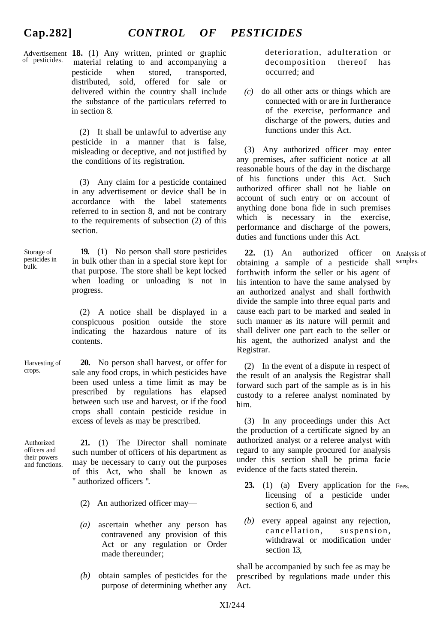## **Cap.282]** *CONTROL OF PESTICIDES*

Advertisement **18.** (1) Any written, printed or graphic of pesticides. material relating to and accompanying a pesticide when stored, transported, distributed, sold, offered for sale or delivered within the country shall include the substance of the particulars referred to in section 8.

> (2) It shall be unlawful to advertise any pesticide in a manner that is false, misleading or deceptive, and not justified by the conditions of its registration.

> (3) Any claim for a pesticide contained in any advertisement or device shall be in accordance with the label statements referred to in section 8, and not be contrary to the requirements of subsection (2) of this section.

Storage of pesticides in bulk. **19.** (1) No person shall store pesticides in bulk other than in a special store kept for that purpose. The store shall be kept locked when loading or unloading is not in progress.

> (2) A notice shall be displayed in a conspicuous position outside the store indicating the hazardous nature of its contents.

Harvesting of crops. **20.** No person shall harvest, or offer for sale any food crops, in which pesticides have been used unless a time limit as may be prescribed by regulations has elapsed between such use and harvest, or if the food crops shall contain pesticide residue in excess of levels as may be prescribed.

Authorized officers and their powers and functions.

**21.** (1) The Director shall nominate such number of officers of his department as may be necessary to carry out the purposes of this Act, who shall be known as " authorized officers ".

- (2) An authorized officer may—
- *(a)* ascertain whether any person has contravened any provision of this Act or any regulation or Order made thereunder;
- *(b)* obtain samples of pesticides for the purpose of determining whether any

deterioration, adulteration or decomposition thereof has occurred; and

 $(c)$  do all other acts or things which are connected with or are in furtherance of the exercise, performance and discharge of the powers, duties and functions under this Act.

(3) Any authorized officer may enter any premises, after sufficient notice at all reasonable hours of the day in the discharge of his functions under this Act. Such authorized officer shall not be liable on account of such entry or on account of anything done bona fide in such premises which is necessary in the exercise, performance and discharge of the powers, duties and functions under this Act.

**22.** (1) An authorized officer obtaining a sample of a pesticide shall forthwith inform the seller or his agent of his intention to have the same analysed by an authorized analyst and shall forthwith divide the sample into three equal parts and cause each part to be marked and sealed in such manner as its nature will permit and shall deliver one part each to the seller or his agent, the authorized analyst and the Registrar. Analysis of samples.

(2) In the event of a dispute in respect of the result of an analysis the Registrar shall forward such part of the sample as is in his custody to a referee analyst nominated by him.

(3) In any proceedings under this Act the production of a certificate signed by an authorized analyst or a referee analyst with regard to any sample procured for analysis under this section shall be prima facie evidence of the facts stated therein.

- **23.** (1) (a) Every application for the Fees. licensing of a pesticide under section 6, and
- *(b)* every appeal against any rejection, cancellation, suspension, withdrawal or modification under section 13,

shall be accompanied by such fee as may be prescribed by regulations made under this Act.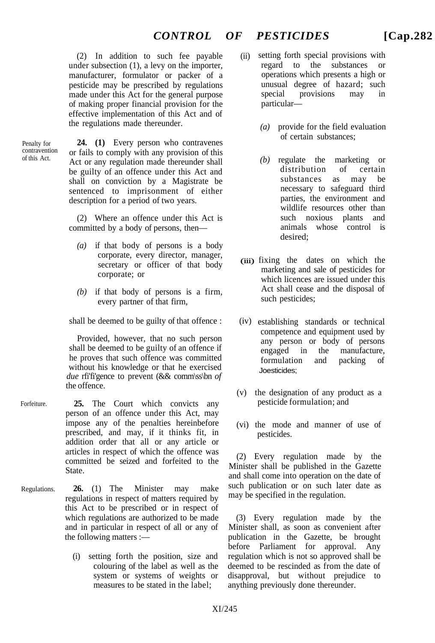$(2)$  In addition to such fee payable under subsection (1), a levy on the importer, manufacturer, formulator or packer of a pesticide may be prescribed by regulations made under this Act for the general purpose of making proper financial provision for the effective implementation of this Act and of the regulations made thereunder.

Penalty for contravention of this Act.

**24. (1)** Every person who contravenes or fails to comply with any provision of this Act or any regulation made thereunder shall be guilty of an offence under this Act and shall on conviction by a Magistrate be sentenced to imprisonment of either description for a period of two years.

(2) Where an offence under this Act is committed by a body of persons, then—

- *(a)* if that body of persons is a body corporate, every director, manager, secretary or officer of that body corporate; or
- *(b)* if that body of persons is a firm, every partner of that firm,

shall be deemed to be guilty of that offence :

Provided, however, that no such person shall be deemed to be guilty of an offence if he proves that such offence was committed without his knowledge or that he exercised *due* rfi'fi'gence to prevent (&& comm\ss\bn *of* the offence.

- Forfeiture. **25.** The Court which convicts any person of an offence under this Act, may impose any of the penalties hereinbefore prescribed, and may, if it thinks fit, in addition order that all or any article or articles in respect of which the offence was committed be seized and forfeited to the **State**
- Regulations. **26.** (1) The Minister may make regulations in respect of matters required by this Act to be prescribed or in respect of which regulations are authorized to be made and in particular in respect of all or any of the following matters :—
	- (i) setting forth the position, size and colouring of the label as well as the system or systems of weights or measures to be stated in the label;
- setting forth special provisions with regard to the substances or operations which presents a high or unusual degree of hazard; such special provisions may in particular—
	- *(a)* provide for the field evaluation of certain substances;
	- *(b)* regulate the marketing or distribution of certain substances as may be necessary to safeguard third parties, the environment and wildlife resources other than such noxious plants and animals whose control is desired;
- (iii) fixing the dates on which the marketing and sale of pesticides for which licences are issued under this Act shall cease and the disposal of such pesticides;
- (iv) establishing standards or technical competence and equipment used by any person or body of persons engaged in the manufacture, formulation and packing of Joesticides;
- (v) the designation of any product as a pesticide formulation; and
- (vi) the mode and manner of use of pesticides.

(2) Every regulation made by the Minister shall be published in the Gazette and shall come into operation on the date of such publication or on such later date as may be specified in the regulation.

(3) Every regulation made by the Minister shall, as soon as convenient after publication in the Gazette, be brought before Parliament for approval. Any regulation which is not so approved shall be deemed to be rescinded as from the date of disapproval, but without prejudice to anything previously done thereunder.